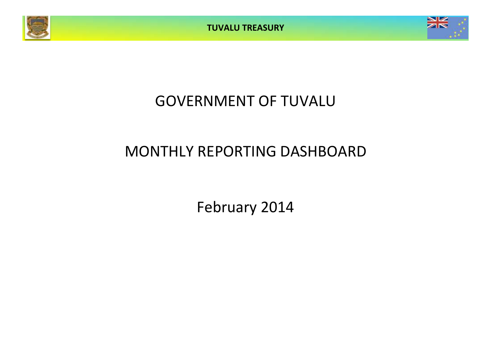



# GOVERNMENT OF TUVALU

# MONTHLY REPORTING DASHBOARD

February 2014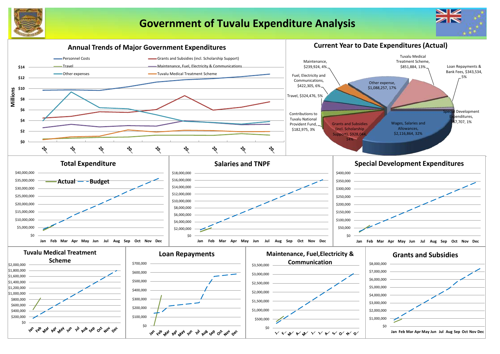

# **Government of Tuvalu Expenditure Analysis**



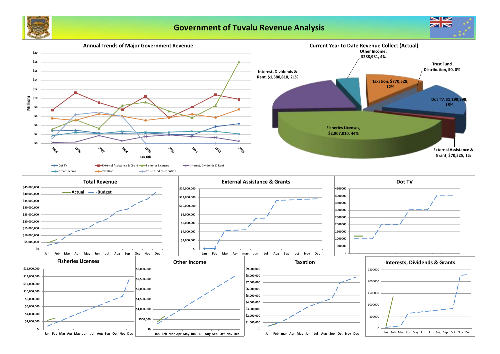

## **Government of Tuvalu Revenue Analysis**

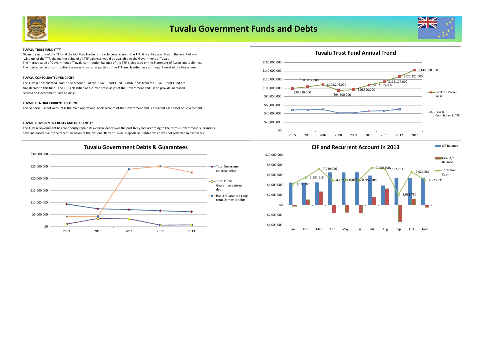

## **Tuvalu Government Funds and Debts**



#### **TUVALU TRUST FUND (TTF)**

The market value of Government of Tuvalu contribution balance of the TTF is disclosed on the Statement of Assets and Liabilities. The market value of contribution balances from other parties to the TTF are classified as a contingent asset of the Government. Given the nature of the TTF and the fact that Tuvalu is the sole beneficiary of the TTF, it is anticipated that in the event of any 'wind up' of the TTF, the market value of all TTF balances would be available to the Government of Tuvalu.

#### **TUVALU CONSOLIDATED FUND (CIF)**

The Tuvalu Consolidated Fund is the account B of the Tuvalu Trust Fund. Distributions from the Tuvalu Trust Fund are transferred to this fund. The CIF is classified as a current cash asset of the Government and use to provide increased returns on Government Cash holdings.

#### **TUVALU GENERAL CURRENT ACCOUNT**

The General Current Account is the main operational bank account of the Government and is a current cash asset of Government.

#### **TUVALU GOVERNMENT DEBTS AND GUARANTEES**

The Tuvalu Government has continously repaid its external debts over the past five years according to the terms. Government Guarantees have increased due to the recent inclusion of the National Bank of Tuvalu Deposit Gaurantee which was not reflected in past years.







### **CIF and Recurrent Account in 2013**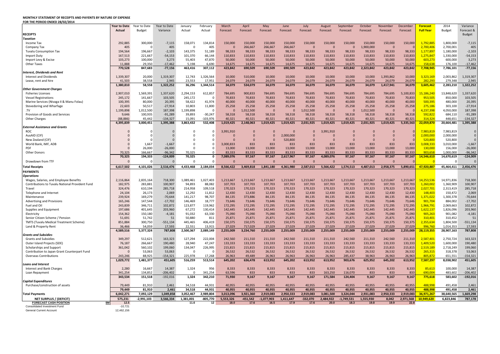#### **MONTHLY STATEMENT OF RECEIPTS AND PAYENTS BY NATURE OF EXPENSE**

| FOR THE PERIOD ENDED 28/02/2014                                       |                         |               |              |             |              |                |              |                |              |                |              |              |           |           |           |                  |            |                |
|-----------------------------------------------------------------------|-------------------------|---------------|--------------|-------------|--------------|----------------|--------------|----------------|--------------|----------------|--------------|--------------|-----------|-----------|-----------|------------------|------------|----------------|
|                                                                       | <b>Year to Date</b>     | Year to Date  | Year to Date | January     | February     | March          | April        | May            | June         | July           | August       | September    | October   | November  | December  | <b>Forecast</b>  | 2014       | Variance       |
|                                                                       | Actual                  | <b>Budget</b> | Variance     | Actual      | Actual       | Forecast       | Forecast     | Forecast       | Forecast     | Forecast       | Forecast     | Forecast     | Forecast  | Forecast  | Forecast  | <b>Full Year</b> | Budget     | Forecast &     |
| <b>RECEIPTS</b>                                                       |                         |               |              |             |              |                |              |                |              |                |              |              |           |           |           |                  |            | Budget         |
| Taxation                                                              |                         |               |              |             |              |                |              |                |              |                |              |              |           |           |           |                  |            |                |
| Income Tax                                                            | 292,885                 | 300,000       | $-7,115$     | 158,071     | 134,814      | 150,000        | 150,000      | 150,000        | 150,000      | 150,000        | 150,000      | 150,000      | 150,000   | 150,000   | 150,000   | 1,792,88         | 1,800,000  | $-7,115$       |
| Company Tax                                                           | 405                     | $\Omega$      | 405          | $\Omega$    | 405          | $\Omega$       | 266.667      | 266.667        | 266.667      | $\Omega$       | $\Omega$     | $\Omega$     | 1.900.000 | $\Omega$  |           | 2.700.406        | 2,700,001  | 405            |
| <b>Tuvalu Consumption Tax</b>                                         | 194,564                 | 196,667       | $-2,103$     | 143,375     | 51,189       | 98,333         | 98,333       | 98,333         | 98,333       | 98,333         | 98,333       | 98,333       | 98,333    | 98,333    | 98,333    | 1,177,897        | 1,180,000  | $-2,103$       |
| <b>Import Duty</b>                                                    | 167,513                 | 221,667       | $-54,153$    | 101,370     | 66,144       | 110,833        | 110,833      | 110,833        | 110,833      | 110,833        | 110,833      | 110,833      | 110,833   | 110,833   | 110,833   | 1,275,847        | 1,330,000  | $-54,153$      |
| Import Levy & Excise                                                  | 103,273                 | 100,000       | 3,273        | 55,403      | 47,870       | 50,000         | 50,000       | 50,000         | 50,000       | 50,000         | 50,000       | 50,000       | 50,000    | 50,000    | 50,000    | 603,273          | 600,000    | 3,273          |
| Other Taxes                                                           | 11,888                  | 29.350        | $-17,462$    | 5,198       | 6,690        | 14,675         | 14,675       | 14,675         | 14,675       | 14,675         | 14,675       | 14,675       | 14,675    | 14,675    | 14,675    | 158,638          | 176,100    | $-17,462$      |
|                                                                       | 770,528                 | 847,683       | $-77,156$    | 463,416     | 307,112      | 423,842        | 690,509      | 690,509        | 690,509      | 423,842        | 423,842      | 423,842      | 2,323,842 | 423,842   | 423,842   | 7,708,945        | 7,786,101  | $-77,156$      |
| <b>Interest, Dividends and Rent</b>                                   |                         |               |              |             |              |                |              |                |              |                |              |              |           |           |           |                  |            |                |
| <b>Interest and Dividends</b>                                         | 1,339,307               | 20,000        | 1,319,307    | 12,743      | 1,326,564    | 10.000         | 510,000      | 10,000         | 10,000       | 10,000         | 10,000       | 10,000       | 10,000    | 1,393,862 | 10,000    | 3,323,169        | 2,003,862  | 1,319,307      |
| Lease, rent and hire                                                  | 41,503                  | 38,558        | 2,945        | 23,553      | 17,951       | 24,079         | 24,079       | 24,079         | 24,079       | 24,079         | 24,079       | 24,079       | 24,079    | 24,079    | 24,079    | 282.293          | 279,348    | 2,945          |
|                                                                       | 1,380,810               | 58,558        | 1,322,252    | 36,296      | 1,344,514    | 34,079         | 534,079      | 34,079         | 34,079       | 34,079         | 34,079       | 34,079       | 34,079    | 1,417,941 | 34,079    | 3,605,462        | 2,283,210  | 1,322,252      |
| <b>Other Government Charaes</b>                                       |                         |               |              |             |              |                |              |                |              |                |              |              |           |           |           |                  |            |                |
| <b>Fisheries Licenses</b>                                             | 2,907,010               | 1,569,391     | 1,337,620    | 2,294,153   | 612,857      | 784,695        | 900,833      | 784,695        | 784,695      | 784,695        | 784,695      | 784,695      | 784,695   | 784,695   | 5,100,833 | 15,186,240       | 13,848,620 | 1,337,620      |
| <b>Vessel Registrations</b>                                           | 245,172                 | 141,667       | 103,505      | 245,172     | $\Omega$     | 70,833         | 70,833       | 70,833         | 70,833       | 70,833         | 70,833       | 70,833       | 70,833    | 70,833    | 70,833    | 953,505          | 850,000    | 103,505        |
|                                                                       | 100,395                 | 80,000        | 20,395       | 58,422      | 41,974       | 40,000         | 40,000       | 40,000         | 40,000       | 40,000         | 40,000       | 40,000       | 40,000    | 40,000    | 40,000    | 500,395          | 480,000    | 20,395         |
| Marine Services (Nivaga II & Manu Folau)                              |                         |               |              |             |              |                |              |                |              |                |              |              |           |           |           |                  |            |                |
| Stevedoring and Wharfage                                              | 22,603                  | 50,517        | $-27,914$    | 10,803      | 11,800       | 25,258         | 25,258       | 25,258         | 25,258       | 25,258         | 25,258       | 25,258       | 25,258    | 25,258    | 25,258    | 275,186          | 303,100    | $-27,914$      |
| .TV                                                                   | 1,199,898               | 1,012,500     | 187,398      | 1,199,898   | $\Omega$     | $\overline{0}$ | 1,012,500    | $\mathbf{0}$   | $\mathbf{0}$ | 1,012,500      | $\mathbf{0}$ | $\Omega$     | 1,012,500 | $\Omega$  |           | 4,237,398        | 4,050,000  | 187,398        |
| Provision of Goods and Services                                       | 9,646                   | 100,935       | $-91,289$    | 39,893      | $-30,247$    | 58,318         | 58,318       | 58,318         | 58,318       | 58,318         | 58,318       | 58,318       | 58,318    | 58,318    | 58,318    | 592,822          | 684,110    | $-91,289$      |
| Other Charges                                                         | (88, 886)               | 45,442        | $-134,327$   | 15,091      | $-103,976$   | 40,321         | 40,321       | 40,321         | 40,321       | 40,321         | 40,321       | 40,321       | 40,321    | 40,321    | 40,321    | 314,324          | 448,651    | $-134,327$     |
|                                                                       | 4,395,839               | 3,000,451     | 1,395,388    | 3,863,432   | 532,408      | 1,019,425      | 2,148,063    | 1,019,425      | 1,019,425    | 2,031,925      | 1,019,425    | 1,019,425    | 2,031,925 | 1,019,425 | 5,335,563 | 22,059,870       | 20,664,481 | 1,395,388      |
| <b>External Assistance and Grants</b>                                 |                         |               |              |             |              |                |              |                |              |                |              |              |           |           |           |                  |            |                |
| <b>ROC</b>                                                            | $\mathbf 0$             | $\Omega$      | $\Omega$     | $\mathbf 0$ | $\Omega$     | 3,991,910      | $\mathbf 0$  | $\Omega$       | $\mathbf{0}$ | $\mathbf 0$    | 3,991,910    | $\Omega$     | $\Omega$  | $\Omega$  |           | 7,983,819        | 7,983,819  | $\overline{0}$ |
| AusAID (CIF)                                                          | $\mathbf 0$             | $\Omega$      | $\mathbf{0}$ | $\Omega$    | $\Omega$     | $\overline{0}$ | $\mathbf{0}$ | $\overline{0}$ | 2,000,000    | $\overline{0}$ | $\mathbf{0}$ | $\Omega$     | $\Omega$  | $\Omega$  |           | 2,000,000        | 2,000,000  | $\overline{0}$ |
| New Zealand (CIF)                                                     | $\mathbf 0$             |               | $\Omega$     | $\mathbf 0$ |              | $\mathfrak{c}$ | $\mathbf 0$  | $\mathbf 0$    | 520,800      | $\mathbf{0}$   | $\mathbf{0}$ | $\Omega$     | $\Omega$  |           |           | 520,800          | 520,800    | $\Omega$       |
| World Bank, IMF, ADB                                                  | $\Omega$                | 1,667         | $-1,667$     | $\Omega$    | $\Omega$     | 3,000,833      | 833          | 833            | 833          | 833            | 833          | 833          | 833       | 833       | 833       | 3,008,333        | 3,010,000  | $-1,667$       |
| PDF                                                                   | $\Omega$                | 26,000        | $-26,000$    | $\Omega$    |              | 13,000         | 13,000       | 13,000         | 13,000       | 13,000         | 13,000       | 13,000       | 13,000    | 13,000    | 13,000    | 130,000          | 156,000    | $-26,000$      |
| Other Donors                                                          | 70,325                  | 166,667       | $-96,342$    | 70,325      |              | 83,333         | 83,333       | 83,333         | 83,333       | 83,333         | 83,333       | 83,333       | 83,333    | 83,333    | 83,333    | 903,658          | 1,000,000  | $-96,342$      |
|                                                                       | 70,325                  | 194,333       | $-124,009$   | 70,325      | $\mathbf{0}$ | 7,089,076      | 97,167       | 97,167         | 2,617,967    | 97,167         | 4,089,076    | 97,167       | 97,167    | 97,167    | 97,167    | 14,546,610       | 14,670,619 | $-124,009$     |
| Drawdown from TTF                                                     | $\Omega$                | n             |              | $\Omega$    |              | $\Omega$       | $\Omega$     | $\Omega$       | $\Omega$     | $\Omega$       | $\Omega$     |              | $\Omega$  | $\Omega$  |           |                  | c          |                |
|                                                                       | 6,617,502               | 4,101,026     | 2,516,476    | 4,433,468   | 2,184,034    | 8,566,422      | 3,469,818    | 1,841,180      | 4,361,980    | 2,587,013      | 5,566,422    | 1,574,513    | 4,487,013 | 2,958,375 | 5,890,651 | 47,920,887       | 45,464,411 | 2,456,476      |
| <b>Total Receipts</b>                                                 |                         |               |              |             |              |                |              |                |              |                |              |              |           |           |           |                  |            |                |
| <b>PAYMENTS</b>                                                       |                         |               |              |             |              |                |              |                |              |                |              |              |           |           |           |                  |            |                |
| <b>Operations</b>                                                     |                         |               |              |             |              |                |              |                |              |                |              |              |           |           |           |                  |            |                |
| Wages, Salaries, and Employee Benefits                                | 2,116,864               | 2,835,164     | 718,300      | 1,089,461   | 1,027,403    | 1,213,667      | 1,213,667    | 1,213,667      | 1,213,667    | 1,213,667      | 1,213,667    | 1,213,667    | 1,213,667 | 1,213,667 | 1,213,667 | 14,253,536       | 14,971,836 | 718,300        |
| Contributions to Tuvalu National Provident Fund                       | 182,975                 | 283,881       | 100,907      | 94,893      | 88,082       | 107,703        | 107,703      | 107,703        | 107,703      | 107,703        | 107,703      | 107,703      | 107,703   | 107,703   | 107,703   | 1,260,002        | 1,360,909  | 100,907        |
| Travel                                                                | 324,476                 | 610,194       | 285,718      | 214,958     | 109,518      | 170,323        | 170,323      | 170,323        | 170,323      | 170,323        | 170,323      | 170,323      | 170,323   | 170,323   | 170,323   | 2,027,701        | 2,313,419  | 285,718        |
| Telephone and Internet                                                | 24,104                  | 26,173        | 2,069        | 12,292      | 11,812       | 12,430         | 12,430       | 12,430         | 12,430       | 12,430         | 12,430       | 12,430       | 12,430    | 12,430    | 12,430    | 148,403          | 150,472    | 2,069          |
| Maintenance                                                           | 239,924                 | 169,279       | $-70,644$    | 141,217     | 98,707       | 84,135         | 373,886      | 84,135         | 84,135       | 84,135         | 84,135       | 84,135       | 84,135    | 84,135    | 84,135    | 1,371,022        | 1,300,378  | $-70,644$      |
| <b>Advertising and Provisions</b>                                     | 165,246                 | 147,544       | $-17,702$    | 146,469     | 18,777       | 73,646         | 73,646       | 73,646         | 73,646       | 73,646         | 73,646       | 73,646       | 73,646    | 73,646    | 73,646    | 901,704          | 884,002    | $-17,702$      |
| Fuel and Oil                                                          | 243,839                 | 346,711       | 102,872      | 123,877     | 119,962      | 172,295        | 172,295      | 172,295        | 172,295      | 172,295        | 172,295      | 172,295      | 172,295   | 172,295   | 172,295   | 1,966,791        | 2,069,663  | 102,872        |
| Supplies and Equipment                                                | 197,686                 | 401,645       | 203,960      | 67,272      | 130,414      | 142,445        | 142,445      | 142,445        | 142,445      | 142,445        | 142,445      | 142,445      | 142,445   | 142,445   | 142,445   | 1,622,137        | 1,826,096  | 203,960        |
| Electricity                                                           | 154,362                 | 150,180       | $-4,181$     | 91,032      | 63,330       | 75,090         | 75,090       | 75,090         | 75,090       | 75,090         | 75,090       | 75,090       | 75,090    | 75,090    | 75,090    | 905,263          | 901,082    | $-4,181$       |
| Senior Citizen Scheme / Pension                                       | 51,691                  | 51,742        | 51           | 50,880      | 811          | 25,871         | 25,871       | 25,871         | 25,871       | 25,871         | 25,871       | 25,871       | 25,871    | 25,871    | 25,87     | 310,401          | 310,452    | 51             |
| TMTS (Tuvalu Medical Treatment Scheme)                                | 851,884                 | 300,750       | $-551,134$   | 445,465     | 406,419      | 150,375        | 150,375      | 150,375        | 150,375      | 150,375        | 150,375      | 150,375      | 150,375   | 150,375   | 150,375   | 2,355,634        | 1,804,500  | $-551,134$     |
| Land & Property Rent                                                  | 36,466                  | 54,059        | 17,593       | 22,551      | 13.915       | 27,029         | 717,029      | 27,029         | 27,029       | 27,029         | 27,029       | 27,029       | 27,029    | 27,029    | 27,029    | 996.760          | 1,014,353  | 17,593         |
|                                                                       | 4,589,516               | 5,377,324     | 787,808      | 2,500,367   | 2,089,149    | 2,255,009      | 3,234,760    | 2,255,009      | 2,255,009    | 2,255,009      | 2,255,009    | 2,255,009    | 2,255,009 | 2,255,009 | 2,255,009 | 28,119,355       | 28,907,163 | 787,808        |
| <b>Grants and Subsidies</b>                                           |                         |               |              |             |              |                |              |                |              |                |              |              |           |           |           |                  |            |                |
| <b>Grants and Subsidies</b>                                           | 349,297                 | 512,621       | 163,323      | 127,294     | 222,004      | 242,560        | 211,310      | 211,310        | 242,560      | 211,310        | 211,310      | 242,560      | 211,310   | 242,560   | 211,31    | 2,587,403        | 2,750,724  | 163,323        |
|                                                                       |                         |               | 190,480      |             | 47,247       | 133,333        | 133,333      | 133,333        | 133,333      | 133,333        | 133,333      | 133,333      | 133,333   |           | 133,333   | 1,409,520        | 1,600,000  |                |
| Outer Island Projects (SDE)                                           | 76,187                  | 266,667       |              | 28,940      |              |                |              |                |              |                |              |              |           | 133,333   |           |                  |            | 190,480        |
| Scholarships and Support                                              | 361,042                 | 560,102       | 199,060      | 134,047     | 226,995      | 215,815        | 215,815      | 215,815        | 215,815      | 215,815        | 215,815      | 215,815      | 215,815   | 215,815   | 215,815   | 2,519,189        | 2,718,249  | 199,060        |
| Contribution to Japan Grant Counterpart Fund                          | $\Omega$                | 53,063        | 53,063       | $\Omega$    | $\sqrt{ }$   | 26,532         | 26,532       | 26,532         | 26,532       | 26,532         | 26,532       | 26,532       | 26,532    | 26,532    | 26,532    | 265,315          | 318,378    | 53,063         |
| <b>Overseas Contributions</b>                                         | 243,246                 | 88,925        | $-154,321$   | 225,978     | 17,268       | 26,963         | 49,489       | 26,963         | 26,963       | 26,963         | 26,963       | 285,437      | 38.963    | 26,963    | 26,963    | 805,87           | 651,551    | $-154,321$     |
|                                                                       | 1,029,772               | 1,481,377     | 451,605      | 516.259     | 513,514      | 645,202        | 636,478      | 613,952        | 645,202      | 613.952        | 613,952      | 903,676      | 625.952   | 645,202   | 613,952   | 7,587,297        | 8,038,902  | 451,605        |
| <b>Loans and Interest</b>                                             |                         |               |              |             |              |                |              |                |              |                |              |              |           |           |           |                  |            |                |
| Interest and Bank Charges                                             | 2,280                   | 16,667        | 14,387       | 1,324       | 956          | 8,333          | 8,333        | 8,333          | 8,333        | 8,333          | 8,333        | 8,333        | 8,333     | 8,333     | 8,333     | 85,613           | 100,000    | 14,387         |
| Loan Repayment                                                        | 341,254                 | 134,852       | $-206,402$   | $\Omega$    | 341,254      | 63,596         | 833          | 833            | 833          | 833            | 163,250      | 116,070      | 833       | 833       | 83        | 690,004          | 483,602    | $-206,402$     |
|                                                                       | 343,534                 | 151,518       | $-192,016$   | 1,324       | 342,210      | 71,930         | 9.167        | 9.167          | 9,167        | 9,167          | 171.584      | 124.404      | 9,167     | 9,167     | 9,167     | 775,618          | 583,602    | $-192,016$     |
| <b>Capital Expenditures</b>                                           |                         |               |              |             |              |                |              |                |              |                |              |              |           |           |           |                  |            |                |
| Purchase/construction of assets                                       | 79,449                  | 81,910        | 2,461        | 34,518      | 44,931       | 40,955         | 40,955       | 40,955         | 40,955       | 40,955         | 40,955       | 40,955       | 40,955    | 40,955    | 40,955    | 488.998          | 491,458    | 2,461          |
|                                                                       | 79.449                  | 81.910        | 2.461        | 34.518      | 44.931       | 40.955         | 40.955       | 40.955         | 40.955       | 40.955         | 40.955       | 40.955       | 40.955    | 40.955    | 40.955    | 488.998          | 491.458    | 2.461          |
| <b>Total Payments</b>                                                 | 6,042,271               | 7,092,129     | 1,049,858    | 3,052,467   | 2,989,804    | 3,013,096      | 3,921,360    | 2,919,083      | 2,950,333    | 2,919,083      | 3,081,500    | 3,324,044    | 2,931,083 | 2,950,333 | 2,919,083 | 36,971,267       | 38,640,565 | 1,669,298      |
|                                                                       |                         |               |              |             |              |                |              |                |              |                |              |              |           |           |           |                  |            |                |
| NET SURPLUS / (DEFICIT)                                               | 575,231                 | $-2,991,103$  | 3,566,334    | 1,381,001   | -805,770     | 5,553,326      | $-451,542$   | $-1,077,903$   | 1,411,647    | $-332,070$     | 2,484,922    | $-1,749,531$ | 1,555,930 | 8,042     | 2,971,568 | 10,949,620       | 6,823,846  | 787,178        |
| <b>FORECAST CASH POSITION</b><br><b>SM</b>                            | 12.5                    |               |              | 11.6        | 12           | 18.0           | 17.6         | 16.5           | 17.9         | 17.6           | 20.0         | 18.3         | 19.8      | 19.9      | 22.8      |                  |            |                |
| <b>Consolidated Investment Fund</b><br><b>General Current Account</b> | $-10.721$<br>12.462.156 |               |              |             |              |                |              |                |              |                |              |              |           |           |           |                  |            |                |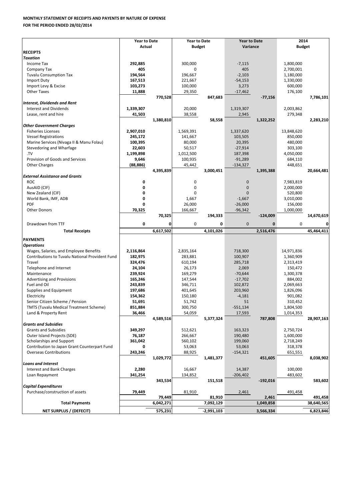## **MONTHLY STATEMENT OF RECEIPTS AND PAYENTS BY NATURE OF EXPENSE**

**FOR THE PERIOD ENDED 28/02/2014**

|                                                 | <b>Year to Date</b> |           | <b>Year to Date</b> |              | <b>Year to Date</b> |            | 2014             |              |  |
|-------------------------------------------------|---------------------|-----------|---------------------|--------------|---------------------|------------|------------------|--------------|--|
|                                                 | Actual              |           | <b>Budget</b>       |              | Variance            |            | <b>Budget</b>    |              |  |
|                                                 |                     |           |                     |              |                     |            |                  |              |  |
| <b>RECEIPTS</b>                                 |                     |           |                     |              |                     |            |                  |              |  |
| <b>Taxation</b>                                 |                     |           |                     |              |                     |            |                  |              |  |
| Income Tax                                      | 292,885             |           | 300,000             |              | $-7,115$            |            | 1,800,000        |              |  |
| Company Tax                                     | 405                 |           | 0                   |              | 405                 |            | 2,700,001        |              |  |
| <b>Tuvalu Consumption Tax</b>                   | 194,564             |           | 196,667             |              | $-2,103$            |            | 1,180,000        |              |  |
| <b>Import Duty</b>                              | 167,513             |           | 221,667             |              | $-54,153$           |            | 1,330,000        |              |  |
| Import Levy & Excise                            | 103,273             |           | 100,000             |              | 3,273               |            | 600,000          |              |  |
| <b>Other Taxes</b>                              | 11,888              |           | 29,350              |              | $-17,462$           |            | 176,100          |              |  |
|                                                 |                     | 770,528   |                     | 847,683      |                     | $-77,156$  |                  | 7,786,101    |  |
| <b>Interest, Dividends and Rent</b>             |                     |           |                     |              |                     |            |                  |              |  |
| Interest and Dividends                          | 1,339,307           |           | 20,000              |              | 1,319,307           |            | 2,003,862        |              |  |
| Lease, rent and hire                            | 41,503              |           | 38,558              |              | 2,945               |            | 279,348          |              |  |
|                                                 |                     | 1,380,810 |                     | 58,558       |                     | 1,322,252  |                  | 2,283,210    |  |
| <b>Other Government Charges</b>                 |                     |           |                     |              |                     |            |                  |              |  |
|                                                 |                     |           |                     |              |                     |            |                  |              |  |
| <b>Fisheries Licenses</b>                       | 2,907,010           |           | 1,569,391           |              | 1,337,620           |            | 13,848,620       |              |  |
| <b>Vessel Registrations</b>                     | 245,172             |           | 141,667             |              | 103,505             |            | 850,000          |              |  |
| Marine Services (Nivaga II & Manu Folau)        | 100,395             |           | 80,000              |              | 20,395              |            | 480,000          |              |  |
| Stevedoring and Wharfage                        | 22,603              |           | 50,517              |              | $-27,914$           |            | 303,100          |              |  |
| .TV                                             | 1,199,898           |           | 1,012,500           |              | 187,398             |            | 4,050,000        |              |  |
| Provision of Goods and Services                 | 9,646               |           | 100,935             |              | $-91,289$           |            | 684,110          |              |  |
| <b>Other Charges</b>                            | (88, 886)           |           | 45,442              |              | $-134,327$          |            | 448,651          |              |  |
|                                                 |                     | 4,395,839 |                     | 3,000,451    |                     | 1,395,388  |                  | 20,664,481   |  |
| <b>External Assistance and Grants</b>           |                     |           |                     |              |                     |            |                  |              |  |
| <b>ROC</b>                                      | 0                   |           | 0                   |              | $\mathbf{0}$        |            | 7,983,819        |              |  |
| AusAID (CIF)                                    | 0                   |           | 0                   |              | $\mathbf{0}$        |            | 2,000,000        |              |  |
| New Zealand (CIF)                               | 0                   |           | 0                   |              | $\mathbf{0}$        |            | 520,800          |              |  |
| World Bank, IMF, ADB                            | 0                   |           | 1,667               |              | $-1,667$            |            | 3,010,000        |              |  |
| <b>PDF</b>                                      | 0                   |           | 26,000              |              | $-26,000$           |            | 156,000          |              |  |
|                                                 |                     |           |                     |              |                     |            |                  |              |  |
| <b>Other Donors</b>                             | 70,325              |           | 166,667             |              | $-96,342$           |            | 1,000,000        |              |  |
|                                                 |                     | 70,325    |                     | 194,333      |                     | $-124,009$ |                  | 14,670,619   |  |
| Drawdown from TTF                               | 0                   | 0         | 0                   | 0            | $\mathbf 0$         | 0          | $\boldsymbol{0}$ | $\mathbf{0}$ |  |
| <b>Total Receipts</b>                           |                     | 6,617,502 |                     | 4,101,026    |                     | 2,516,476  |                  | 45,464,411   |  |
|                                                 |                     |           |                     |              |                     |            |                  |              |  |
| <b>PAYMENTS</b>                                 |                     |           |                     |              |                     |            |                  |              |  |
| <b>Operations</b>                               |                     |           |                     |              |                     |            |                  |              |  |
| Wages, Salaries, and Employee Benefits          | 2,116,864           |           | 2,835,164           |              | 718,300             |            | 14,971,836       |              |  |
| Contributions to Tuvalu National Provident Fund | 182,975             |           | 283,881             |              | 100,907             |            | 1,360,909        |              |  |
| Travel                                          | 324,476             |           | 610,194             |              | 285,718             |            | 2,313,419        |              |  |
|                                                 |                     |           |                     |              |                     |            |                  |              |  |
| Telephone and Internet                          | 24,104              |           | 26,173              |              | 2,069               |            | 150,472          |              |  |
| Maintenance                                     | 239,924             |           | 169,279             |              | $-70,644$           |            | 1,300,378        |              |  |
| Advertising and Provisions                      | 165,246             |           | 147,544             |              | $-17,702$           |            | 884,002          |              |  |
| Fuel and Oil                                    | 243,839             |           | 346,711             |              | 102,872             |            | 2,069,663        |              |  |
| Supplies and Equipment                          | 197,686             |           | 401,645             |              | 203,960             |            | 1,826,096        |              |  |
| Electricity                                     | 154,362             |           | 150,180             |              | $-4,181$            |            | 901,082          |              |  |
| Senior Citizen Scheme / Pension                 | 51,691              |           | 51,742              |              | 51                  |            | 310,452          |              |  |
| <b>TMTS (Tuvalu Medical Treatment Scheme)</b>   | 851,884             |           | 300,750             |              | -551,134            |            | 1,804,500        |              |  |
| Land & Property Rent                            | 36,466              |           | 54,059              |              | 17,593              |            | 1,014,353        |              |  |
|                                                 |                     | 4,589,516 |                     | 5,377,324    |                     | 787,808    |                  | 28,907,163   |  |
| <b>Grants and Subsidies</b>                     |                     |           |                     |              |                     |            |                  |              |  |
| <b>Grants and Subsidies</b>                     | 349,297             |           | 512,621             |              | 163,323             |            | 2,750,724        |              |  |
| Outer Island Projects (SDE)                     | 76,187              |           | 266,667             |              | 190,480             |            | 1,600,000        |              |  |
| Scholarships and Support                        |                     |           |                     |              |                     |            |                  |              |  |
|                                                 | 361,042             |           | 560,102             |              | 199,060             |            | 2,718,249        |              |  |
| Contribution to Japan Grant Counterpart Fund    | 0                   |           | 53,063              |              | 53,063              |            | 318,378          |              |  |
| <b>Overseas Contributions</b>                   | 243,246             |           | 88,925              |              | $-154,321$          |            | 651,551          |              |  |
|                                                 |                     | 1,029,772 |                     | 1,481,377    |                     | 451,605    |                  | 8,038,902    |  |
| <b>Loans and Interest</b>                       |                     |           |                     |              |                     |            |                  |              |  |
| Interest and Bank Charges                       | 2,280               |           | 16,667              |              | 14,387              |            | 100,000          |              |  |
| Loan Repayment                                  | 341,254             |           | 134,852             |              | $-206,402$          |            | 483,602          |              |  |
|                                                 |                     | 343,534   |                     | 151,518      |                     | $-192,016$ |                  | 583,602      |  |
| <b>Capital Expenditures</b>                     |                     |           |                     |              |                     |            |                  |              |  |
| Purchase/construction of assets                 | 79,449              |           | 81,910              |              | 2,461               |            | 491,458          |              |  |
|                                                 |                     | 79,449    |                     | 81,910       |                     | 2,461      |                  | 491,458      |  |
| <b>Total Payments</b>                           |                     | 6,042,271 |                     | 7,092,129    |                     | 1,049,858  |                  | 38,640,565   |  |
|                                                 |                     |           |                     |              |                     |            |                  |              |  |
| NET SURPLUS / (DEFECIT)                         |                     | 575,231   |                     | $-2,991,103$ |                     | 3,566,334  |                  | 6,823,846    |  |